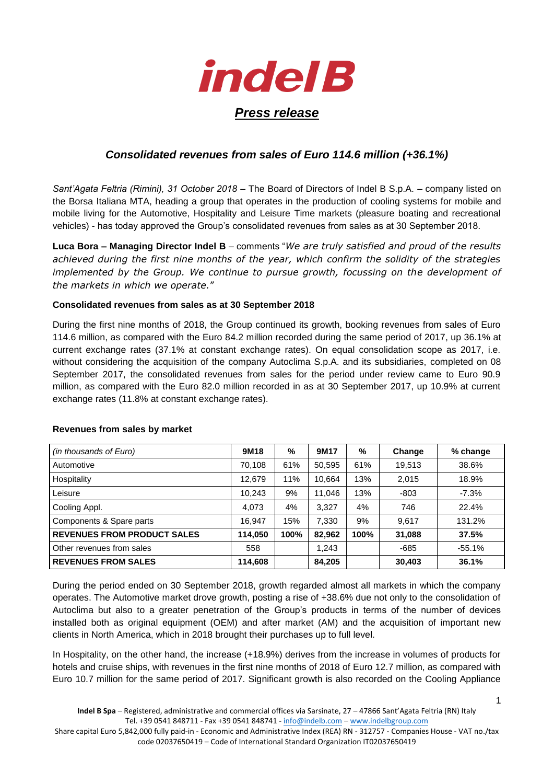

## *Consolidated revenues from sales of Euro 114.6 million (+36.1%)*

*Sant'Agata Feltria (Rimini), 31 October 2018* – The Board of Directors of Indel B S.p.A. – company listed on the Borsa Italiana MTA, heading a group that operates in the production of cooling systems for mobile and mobile living for the Automotive, Hospitality and Leisure Time markets (pleasure boating and recreational vehicles) - has today approved the Group's consolidated revenues from sales as at 30 September 2018.

**Luca Bora – Managing Director Indel B** – comments "*We are truly satisfied and proud of the results achieved during the first nine months of the year, which confirm the solidity of the strategies implemented by the Group. We continue to pursue growth, focussing on the development of the markets in which we operate.*"

## **Consolidated revenues from sales as at 30 September 2018**

During the first nine months of 2018, the Group continued its growth, booking revenues from sales of Euro 114.6 million, as compared with the Euro 84.2 million recorded during the same period of 2017, up 36.1% at current exchange rates (37.1% at constant exchange rates). On equal consolidation scope as 2017, i.e. without considering the acquisition of the company Autoclima S.p.A. and its subsidiaries, completed on 08 September 2017, the consolidated revenues from sales for the period under review came to Euro 90.9 million, as compared with the Euro 82.0 million recorded in as at 30 September 2017, up 10.9% at current exchange rates (11.8% at constant exchange rates).

| (in thousands of Euro)             | 9M18    | %    | 9M17   | %    | Change | % change |
|------------------------------------|---------|------|--------|------|--------|----------|
| Automotive                         | 70,108  | 61%  | 50,595 | 61%  | 19,513 | 38.6%    |
| Hospitality                        | 12,679  | 11%  | 10,664 | 13%  | 2,015  | 18.9%    |
| Leisure                            | 10,243  | 9%   | 11,046 | 13%  | -803   | $-7.3%$  |
| Cooling Appl.                      | 4,073   | 4%   | 3.327  | 4%   | 746    | 22.4%    |
| Components & Spare parts           | 16,947  | 15%  | 7,330  | 9%   | 9,617  | 131.2%   |
| <b>REVENUES FROM PRODUCT SALES</b> | 114,050 | 100% | 82,962 | 100% | 31,088 | 37.5%    |
| Other revenues from sales          | 558     |      | 1,243  |      | $-685$ | $-55.1%$ |
| <b>REVENUES FROM SALES</b>         | 114,608 |      | 84,205 |      | 30,403 | 36.1%    |

## **Revenues from sales by market**

During the period ended on 30 September 2018, growth regarded almost all markets in which the company operates. The Automotive market drove growth, posting a rise of +38.6% due not only to the consolidation of Autoclima but also to a greater penetration of the Group's products in terms of the number of devices installed both as original equipment (OEM) and after market (AM) and the acquisition of important new clients in North America, which in 2018 brought their purchases up to full level.

In Hospitality, on the other hand, the increase (+18.9%) derives from the increase in volumes of products for hotels and cruise ships, with revenues in the first nine months of 2018 of Euro 12.7 million, as compared with Euro 10.7 million for the same period of 2017. Significant growth is also recorded on the Cooling Appliance

Share capital Euro 5,842,000 fully paid-in - Economic and Administrative Index (REA) RN - 312757 - Companies House - VAT no./tax code 02037650419 – Code of International Standard Organization IT02037650419

1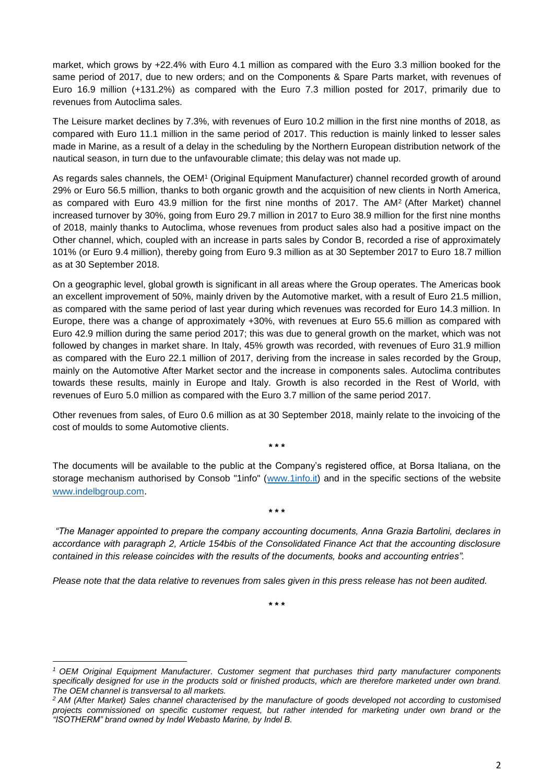market, which grows by +22.4% with Euro 4.1 million as compared with the Euro 3.3 million booked for the same period of 2017, due to new orders; and on the Components & Spare Parts market, with revenues of Euro 16.9 million (+131.2%) as compared with the Euro 7.3 million posted for 2017, primarily due to revenues from Autoclima sales.

The Leisure market declines by 7.3%, with revenues of Euro 10.2 million in the first nine months of 2018, as compared with Euro 11.1 million in the same period of 2017. This reduction is mainly linked to lesser sales made in Marine, as a result of a delay in the scheduling by the Northern European distribution network of the nautical season, in turn due to the unfavourable climate; this delay was not made up.

As regards sales channels, the OEM<sup>1</sup> (Original Equipment Manufacturer) channel recorded growth of around 29% or Euro 56.5 million, thanks to both organic growth and the acquisition of new clients in North America, as compared with Euro 43.9 million for the first nine months of 2017. The AM<sup>2</sup> (After Market) channel increased turnover by 30%, going from Euro 29.7 million in 2017 to Euro 38.9 million for the first nine months of 2018, mainly thanks to Autoclima, whose revenues from product sales also had a positive impact on the Other channel, which, coupled with an increase in parts sales by Condor B, recorded a rise of approximately 101% (or Euro 9.4 million), thereby going from Euro 9.3 million as at 30 September 2017 to Euro 18.7 million as at 30 September 2018.

On a geographic level, global growth is significant in all areas where the Group operates. The Americas book an excellent improvement of 50%, mainly driven by the Automotive market, with a result of Euro 21.5 million, as compared with the same period of last year during which revenues was recorded for Euro 14.3 million. In Europe, there was a change of approximately +30%, with revenues at Euro 55.6 million as compared with Euro 42.9 million during the same period 2017; this was due to general growth on the market, which was not followed by changes in market share. In Italy, 45% growth was recorded, with revenues of Euro 31.9 million as compared with the Euro 22.1 million of 2017, deriving from the increase in sales recorded by the Group, mainly on the Automotive After Market sector and the increase in components sales. Autoclima contributes towards these results, mainly in Europe and Italy. Growth is also recorded in the Rest of World, with revenues of Euro 5.0 million as compared with the Euro 3.7 million of the same period 2017.

Other revenues from sales, of Euro 0.6 million as at 30 September 2018, mainly relate to the invoicing of the cost of moulds to some Automotive clients.

**\* \* \***

The documents will be available to the public at the Company's registered office, at Borsa Italiana, on the storage mechanism authorised by Consob "1info" [\(www.1info.it\)](http://www.1info.it/) and in the specific sections of the website <www.indelbgroup.com>.

*"The Manager appointed to prepare the company accounting documents, Anna Grazia Bartolini, declares in accordance with paragraph 2, Article 154bis of the Consolidated Finance Act that the accounting disclosure contained in this release coincides with the results of the documents, books and accounting entries".*

**\* \* \***

*Please note that the data relative to revenues from sales given in this press release has not been audited.* 

**\* \* \***

**.** 

*<sup>1</sup> OEM Original Equipment Manufacturer. Customer segment that purchases third party manufacturer components specifically designed for use in the products sold or finished products, which are therefore marketed under own brand. The OEM channel is transversal to all markets.* 

*<sup>2</sup> AM (After Market) Sales channel characterised by the manufacture of goods developed not according to customised projects commissioned on specific customer request, but rather intended for marketing under own brand or the "ISOTHERM" brand owned by Indel Webasto Marine, by Indel B.*